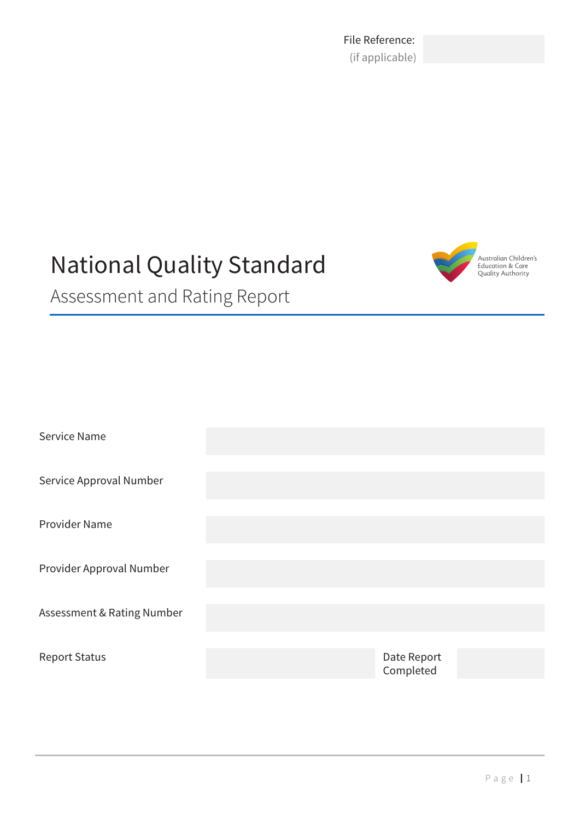File Reference: (if applicable)

# National Quality Standard



Assessment and Rating Report

| Service Name               |                          |  |
|----------------------------|--------------------------|--|
| Service Approval Number    |                          |  |
| Provider Name              |                          |  |
| Provider Approval Number   |                          |  |
| Assessment & Rating Number |                          |  |
| <b>Report Status</b>       | Date Report<br>Completed |  |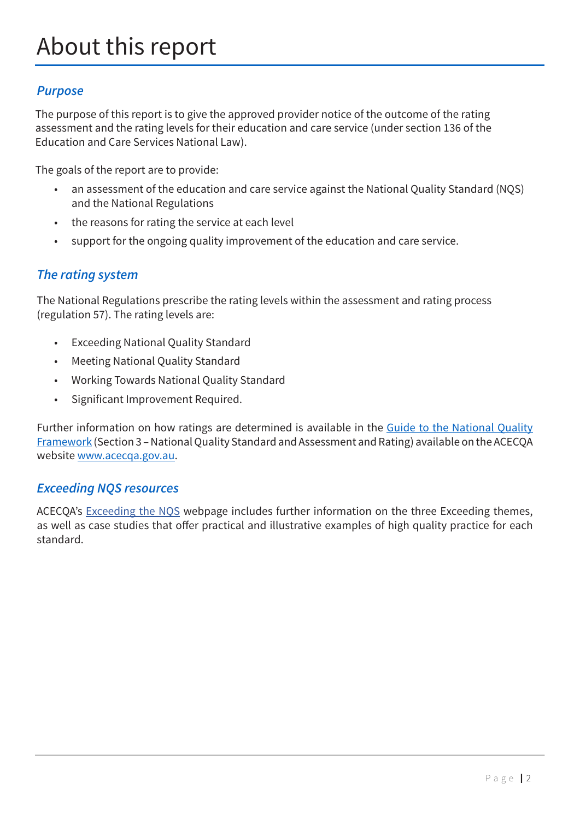### *Purpose*

The purpose of this report is to give the approved provider notice of the outcome of the rating assessment and the rating levels for their education and care service (under section 136 of the Education and Care Services National Law).

The goals of the report are to provide:

- an assessment of the education and care service against the National Quality Standard (NQS) and the National Regulations
- the reasons for rating the service at each level
- support for the ongoing quality improvement of the education and care service.

### *The rating system*

The National Regulations prescribe the rating levels within the assessment and rating process (regulation 57). The rating levels are:

- Exceeding National Quality Standard
- Meeting National Quality Standard
- Working Towards National Quality Standard
- Significant Improvement Required.

Further information on how ratings are determined is available in the [Guide to the National Quality](https://www.acecqa.gov.au/nqf/about/guide ) [Framework](https://www.acecqa.gov.au/nqf/about/guide ) (Section 3 – National Quality Standard and Assessment and Rating) available on the ACECQA website [www.acecqa.gov.au](http://www.acecqa.gov.au/).

### *Exceeding NQS resources*

ACECQA's [Exceeding the NQS](https://www.acecqa.gov.au/assessment/exceeding-nqs) webpage includes further information on the three Exceeding themes, as well as case studies that offer practical and illustrative examples of high quality practice for each standard.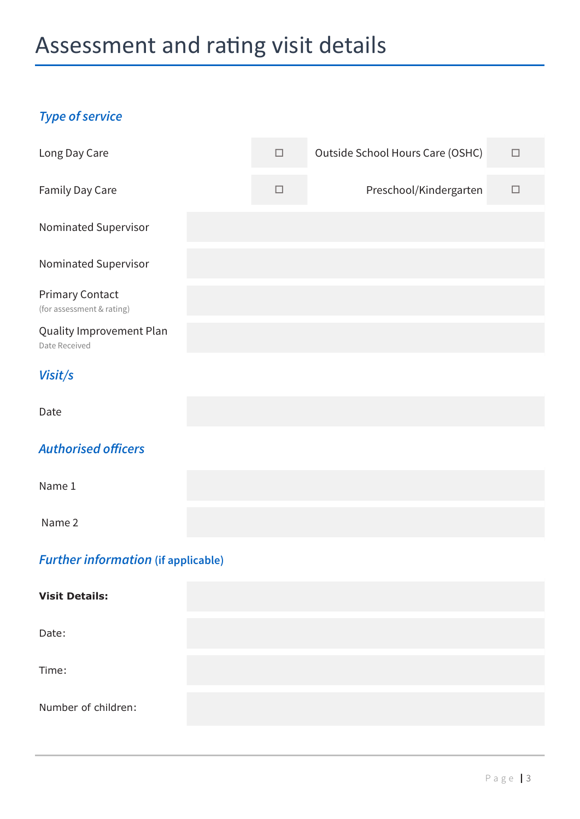# Assessment and rating visit details

# *Type of service*

| Long Day Care                                       |  | $\Box$ | Outside School Hours Care (OSHC) | $\Box$ |
|-----------------------------------------------------|--|--------|----------------------------------|--------|
| Family Day Care                                     |  | $\Box$ | Preschool/Kindergarten           | $\Box$ |
| Nominated Supervisor                                |  |        |                                  |        |
| Nominated Supervisor                                |  |        |                                  |        |
| <b>Primary Contact</b><br>(for assessment & rating) |  |        |                                  |        |
| Quality Improvement Plan<br>Date Received           |  |        |                                  |        |
| Visit/s                                             |  |        |                                  |        |
| Date                                                |  |        |                                  |        |
| <b>Authorised officers</b>                          |  |        |                                  |        |
| Name 1                                              |  |        |                                  |        |
| Name 2                                              |  |        |                                  |        |
| <b>Further information (if applicable)</b>          |  |        |                                  |        |
| <b>Visit Details:</b>                               |  |        |                                  |        |

Date:

Time:

Number of children: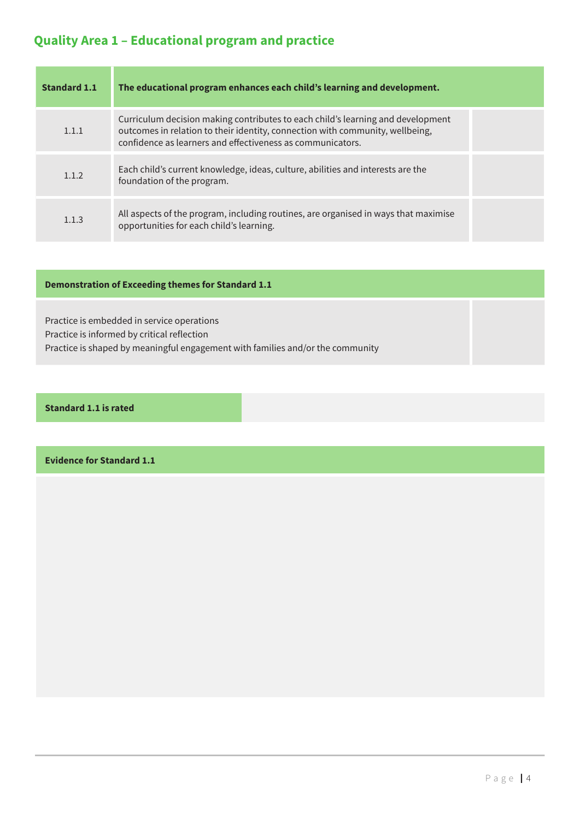# **Quality Area 1 – Educational program and practice**

| Standard 1.1 | The educational program enhances each child's learning and development.                                                                                                                                                        |  |
|--------------|--------------------------------------------------------------------------------------------------------------------------------------------------------------------------------------------------------------------------------|--|
| 1.1.1        | Curriculum decision making contributes to each child's learning and development<br>outcomes in relation to their identity, connection with community, wellbeing,<br>confidence as learners and effectiveness as communicators. |  |
| 1.1.2        | Each child's current knowledge, ideas, culture, abilities and interests are the<br>foundation of the program.                                                                                                                  |  |
| 1.1.3        | All aspects of the program, including routines, are organised in ways that maximise<br>opportunities for each child's learning.                                                                                                |  |

#### **Demonstration of Exceeding themes for Standard 1.1**

Practice is embedded in service operations Practice is informed by critical reflection Practice is shaped by meaningful engagement with families and/or the community

#### **Standard 1.1 is rated**

**Evidence for Standard 1.1**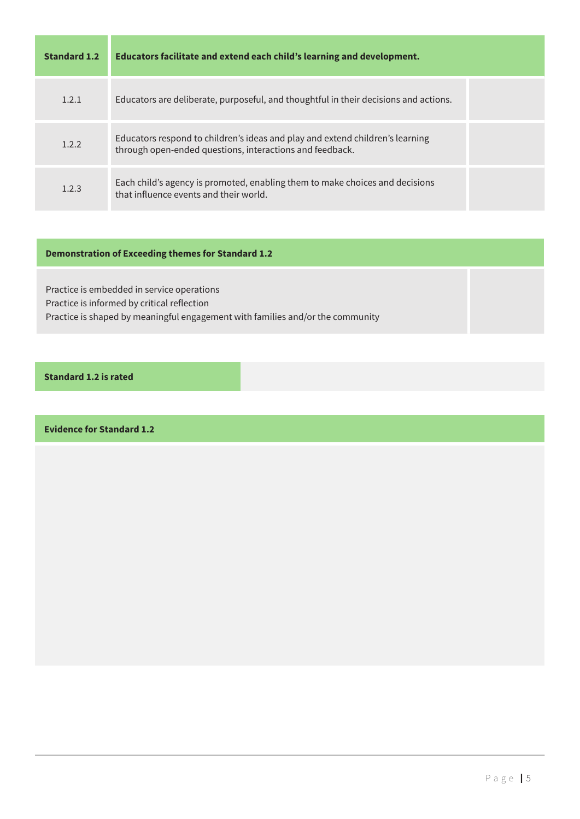| <b>Standard 1.2</b> | Educators facilitate and extend each child's learning and development.                                                                    |  |
|---------------------|-------------------------------------------------------------------------------------------------------------------------------------------|--|
| 1.2.1               | Educators are deliberate, purposeful, and thoughtful in their decisions and actions.                                                      |  |
| 1.2.2               | Educators respond to children's ideas and play and extend children's learning<br>through open-ended questions, interactions and feedback. |  |
| 1.2.3               | Each child's agency is promoted, enabling them to make choices and decisions<br>that influence events and their world.                    |  |

### **Demonstration of Exceeding themes for Standard 1.2**

Practice is embedded in service operations Practice is informed by critical reflection Practice is shaped by meaningful engagement with families and/or the community

### **Standard 1.2 is rated**

**Evidence for Standard 1.2**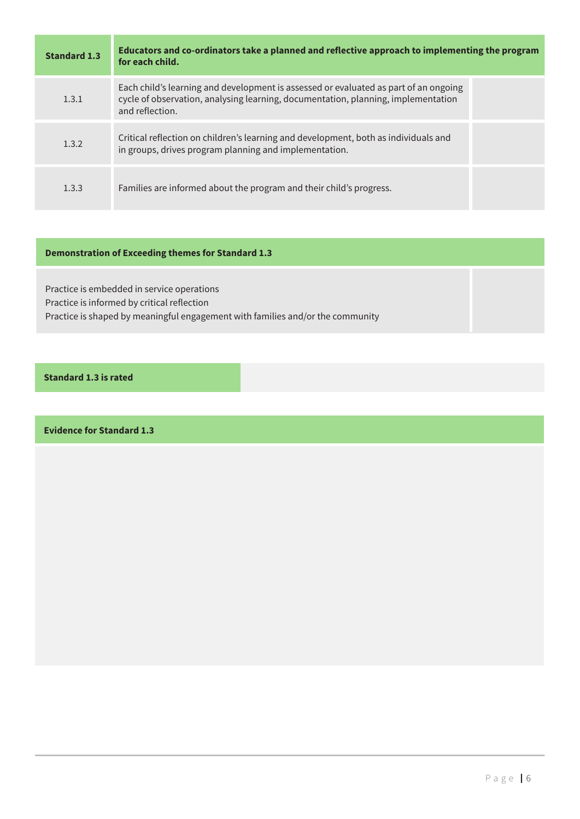| <b>Standard 1.3</b> | Educators and co-ordinators take a planned and reflective approach to implementing the program<br>for each child.                                                                            |
|---------------------|----------------------------------------------------------------------------------------------------------------------------------------------------------------------------------------------|
| 1.3.1               | Each child's learning and development is assessed or evaluated as part of an ongoing<br>cycle of observation, analysing learning, documentation, planning, implementation<br>and reflection. |
| 1.3.2               | Critical reflection on children's learning and development, both as individuals and<br>in groups, drives program planning and implementation.                                                |
| 1.3.3               | Families are informed about the program and their child's progress.                                                                                                                          |

### **Demonstration of Exceeding themes for Standard 1.3**

Practice is embedded in service operations Practice is informed by critical reflection Practice is shaped by meaningful engagement with families and/or the community

#### **Standard 1.3 is rated**

**Evidence for Standard 1.3**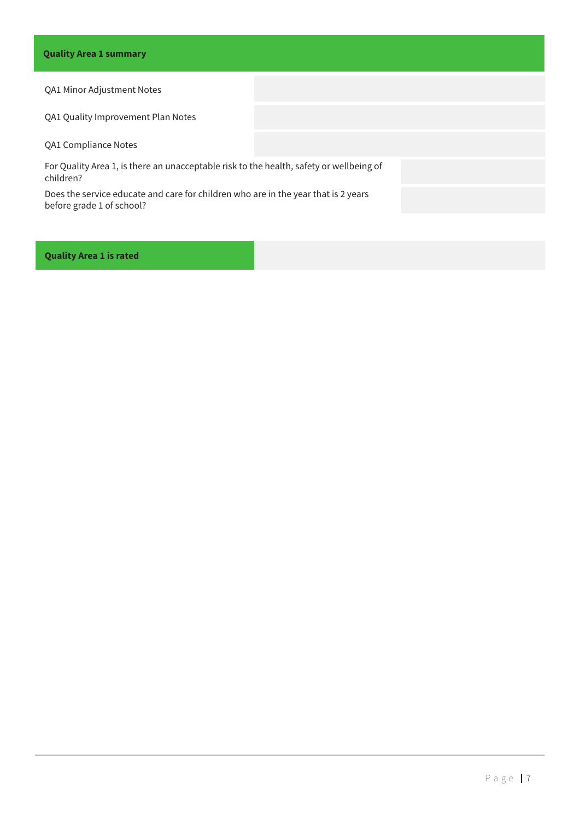#### QA1 Minor Adjustment Notes

QA1 Quality Improvement Plan Notes

QA1 Compliance Notes

For Quality Area 1, is there an unacceptable risk to the health, safety or wellbeing of children?

Does the service educate and care for children who are in the year that is 2 years before grade 1 of school?

**Quality Area 1 is rated**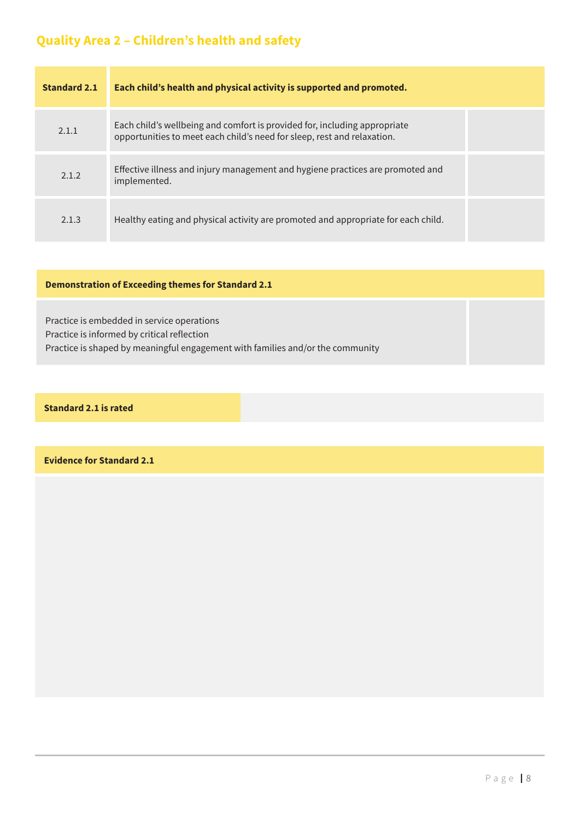# **Quality Area 2 – Children's health and safety**

| <b>Standard 2.1</b> | Each child's health and physical activity is supported and promoted.                                                                                 |  |
|---------------------|------------------------------------------------------------------------------------------------------------------------------------------------------|--|
| 2.1.1               | Each child's wellbeing and comfort is provided for, including appropriate<br>opportunities to meet each child's need for sleep, rest and relaxation. |  |
| 2.1.2               | Effective illness and injury management and hygiene practices are promoted and<br>implemented.                                                       |  |
| 2.1.3               | Healthy eating and physical activity are promoted and appropriate for each child.                                                                    |  |

#### **Demonstration of Exceeding themes for Standard 2.1**

Practice is embedded in service operations Practice is informed by critical reflection Practice is shaped by meaningful engagement with families and/or the community

#### **Standard 2.1 is rated**

**Evidence for Standard 2.1**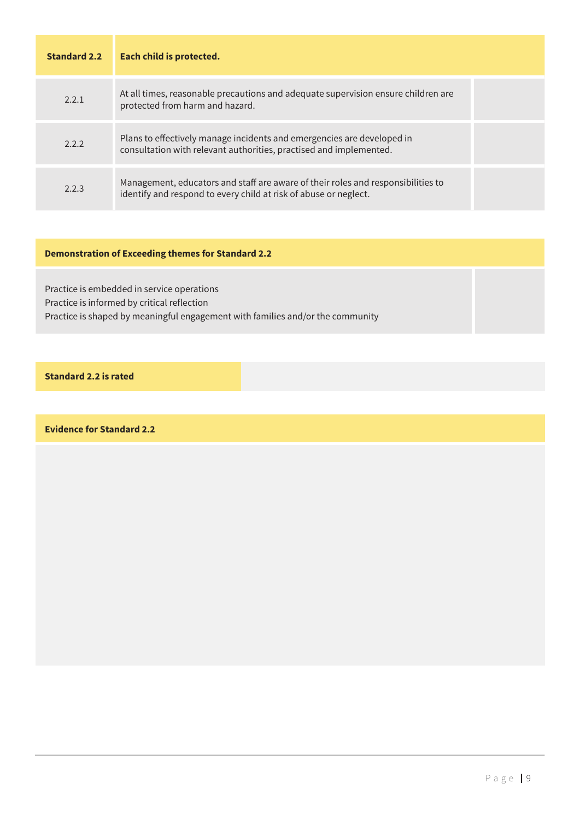| <b>Standard 2.2</b> | Each child is protected.                                                                                                                             |  |
|---------------------|------------------------------------------------------------------------------------------------------------------------------------------------------|--|
| 2.2.1               | At all times, reasonable precautions and adequate supervision ensure children are<br>protected from harm and hazard.                                 |  |
| 2.2.2               | Plans to effectively manage incidents and emergencies are developed in<br>consultation with relevant authorities, practised and implemented.         |  |
| 2.2.3               | Management, educators and staff are aware of their roles and responsibilities to<br>identify and respond to every child at risk of abuse or neglect. |  |

#### **Demonstration of Exceeding themes for Standard 2.2**

Practice is embedded in service operations Practice is informed by critical reflection Practice is shaped by meaningful engagement with families and/or the community

**Standard 2.2 is rated**

**Evidence for Standard 2.2**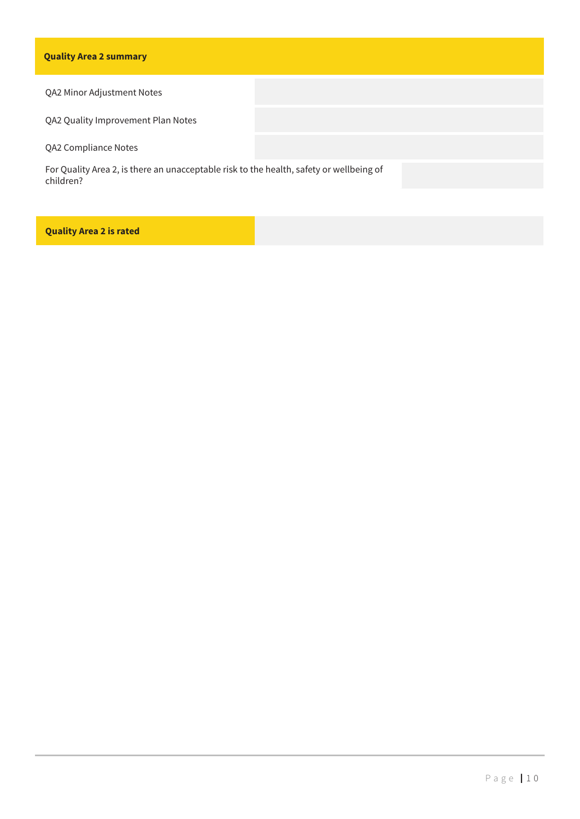#### **Quality Area 2 summary**

QA2 Minor Adjustment Notes

QA2 Quality Improvement Plan Notes

QA2 Compliance Notes

For Quality Area 2, is there an unacceptable risk to the health, safety or wellbeing of children?

**Quality Area 2 is rated**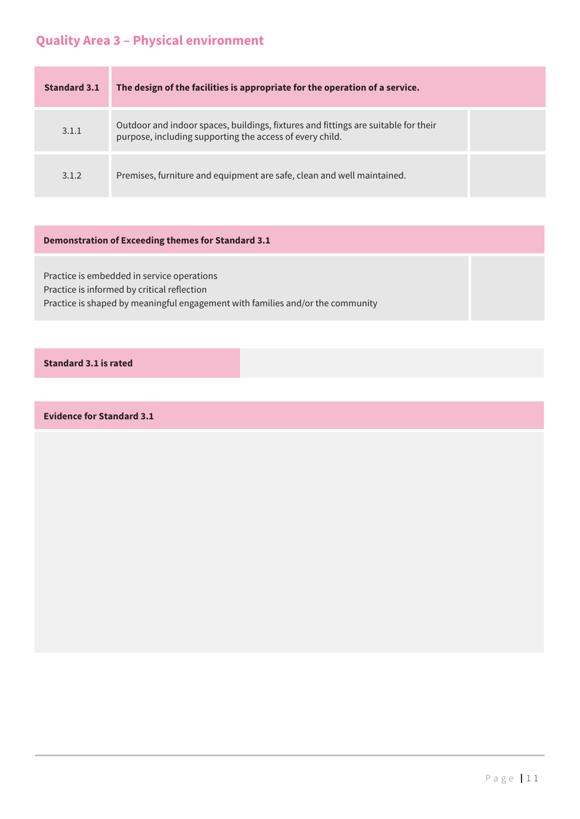# **Quality Area 3 – Physical environment**

| Standard 3.1 | The design of the facilities is appropriate for the operation of a service.                                                                    |  |
|--------------|------------------------------------------------------------------------------------------------------------------------------------------------|--|
| 3.1.1        | Outdoor and indoor spaces, buildings, fixtures and fittings are suitable for their<br>purpose, including supporting the access of every child. |  |
| 3.1.2        | Premises, furniture and equipment are safe, clean and well maintained.                                                                         |  |

#### **Demonstration of Exceeding themes for Standard 3.1**

Practice is embedded in service operations Practice is informed by critical reflection Practice is shaped by meaningful engagement with families and/or the community

#### **Standard 3.1 is rated**

**Evidence for Standard 3.1**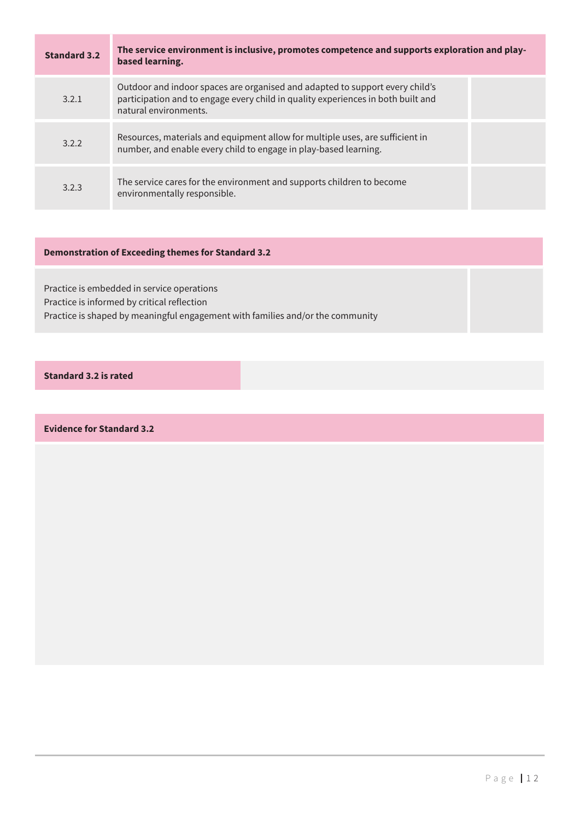| <b>Standard 3.2</b> | The service environment is inclusive, promotes competence and supports exploration and play-<br>based learning.                                                                           |  |
|---------------------|-------------------------------------------------------------------------------------------------------------------------------------------------------------------------------------------|--|
| 3.2.1               | Outdoor and indoor spaces are organised and adapted to support every child's<br>participation and to engage every child in quality experiences in both built and<br>natural environments. |  |
| 3.2.2               | Resources, materials and equipment allow for multiple uses, are sufficient in<br>number, and enable every child to engage in play-based learning.                                         |  |
| 3.2.3               | The service cares for the environment and supports children to become<br>environmentally responsible.                                                                                     |  |

#### **Demonstration of Exceeding themes for Standard 3.2**

Practice is embedded in service operations Practice is informed by critical reflection Practice is shaped by meaningful engagement with families and/or the community

#### **Standard 3.2 is rated**

**Evidence for Standard 3.2**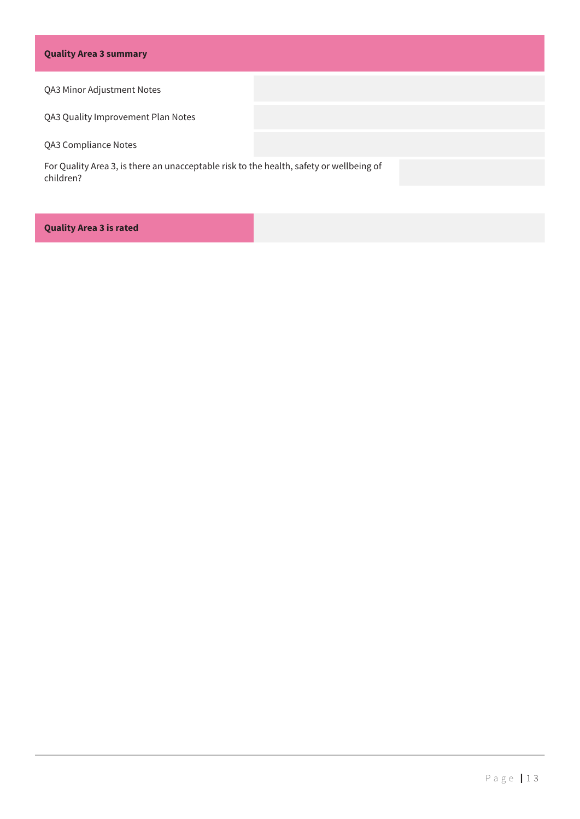#### **Quality Area 3 summary**

#### QA3 Minor Adjustment Notes

QA3 Quality Improvement Plan Notes

QA3 Compliance Notes

For Quality Area 3, is there an unacceptable risk to the health, safety or wellbeing of children?

#### **Quality Area 3 is rated**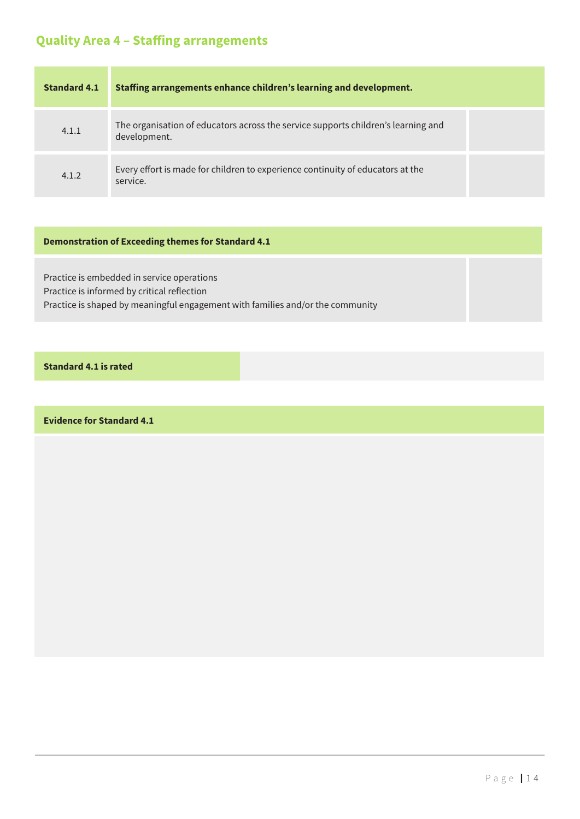# **Quality Area 4 – Staffing arrangements**

| <b>Standard 4.1</b> | Staffing arrangements enhance children's learning and development.                                |  |
|---------------------|---------------------------------------------------------------------------------------------------|--|
| 4.1.1               | The organisation of educators across the service supports children's learning and<br>development. |  |
| 4.1.2               | Every effort is made for children to experience continuity of educators at the<br>service.        |  |

#### **Demonstration of Exceeding themes for Standard 4.1**

Practice is embedded in service operations Practice is informed by critical reflection Practice is shaped by meaningful engagement with families and/or the community

#### **Standard 4.1 is rated**

**Evidence for Standard 4.1**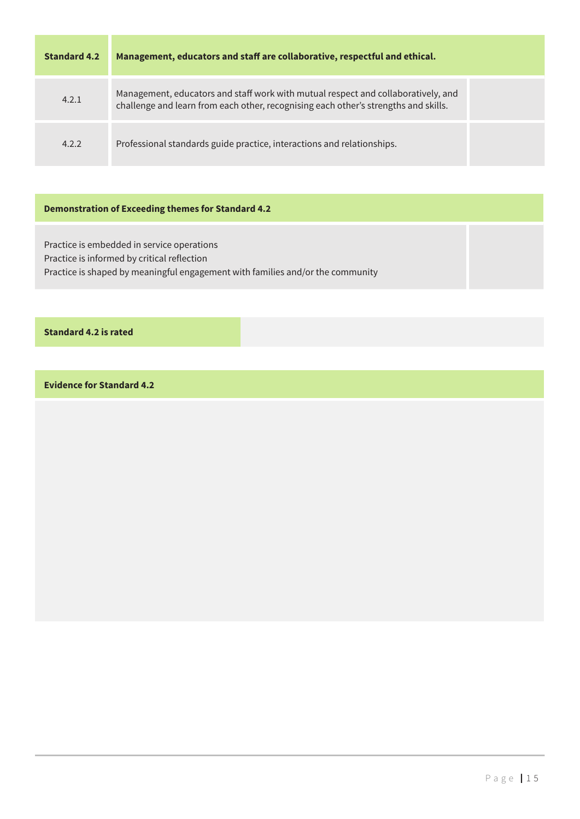| <b>Standard 4.2</b> | Management, educators and staff are collaborative, respectful and ethical.                                                                                               |  |
|---------------------|--------------------------------------------------------------------------------------------------------------------------------------------------------------------------|--|
| 4.2.1               | Management, educators and staff work with mutual respect and collaboratively, and<br>challenge and learn from each other, recognising each other's strengths and skills. |  |
| 4.2.2               | Professional standards guide practice, interactions and relationships.                                                                                                   |  |

#### **Demonstration of Exceeding themes for Standard 4.2**

Practice is embedded in service operations Practice is informed by critical reflection Practice is shaped by meaningful engagement with families and/or the community

#### **Standard 4.2 is rated**

**Evidence for Standard 4.2**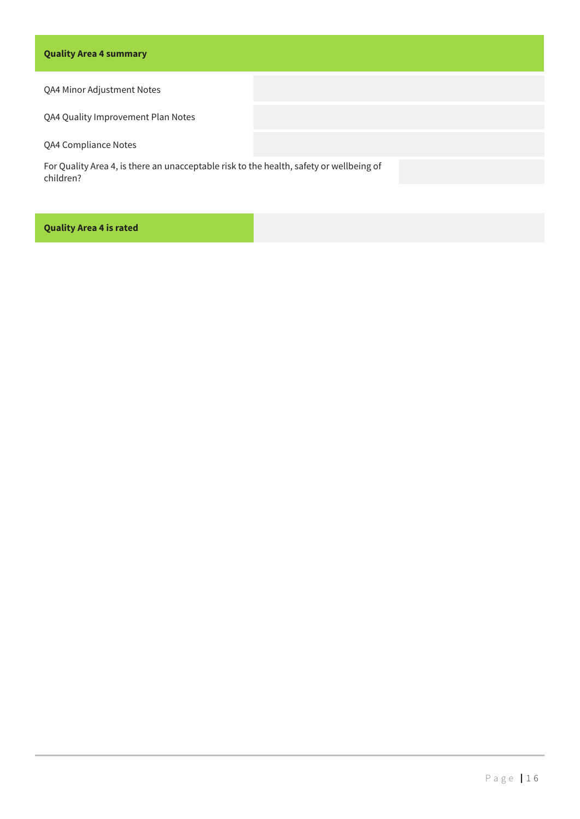#### **Quality Area 4 summary**

QA4 Minor Adjustment Notes

QA4 Quality Improvement Plan Notes

QA4 Compliance Notes

For Quality Area 4, is there an unacceptable risk to the health, safety or wellbeing of children?

#### **Quality Area 4 is rated**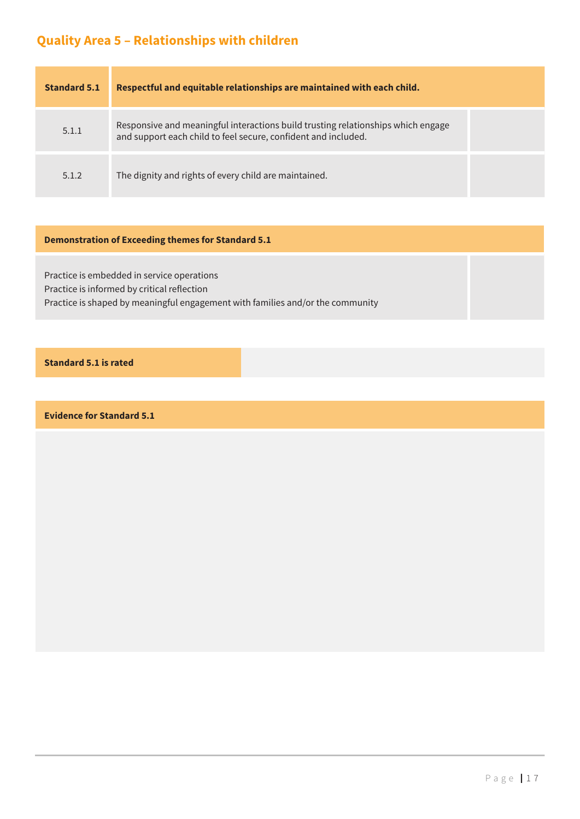# **Quality Area 5 – Relationships with children**

| <b>Standard 5.1</b> | Respectful and equitable relationships are maintained with each child.                                                                             |  |
|---------------------|----------------------------------------------------------------------------------------------------------------------------------------------------|--|
| 5.1.1               | Responsive and meaningful interactions build trusting relationships which engage<br>and support each child to feel secure, confident and included. |  |
| 5.1.2               | The dignity and rights of every child are maintained.                                                                                              |  |

#### **Demonstration of Exceeding themes for Standard 5.1**

Practice is embedded in service operations Practice is informed by critical reflection Practice is shaped by meaningful engagement with families and/or the community

#### **Standard 5.1 is rated**

**Evidence for Standard 5.1**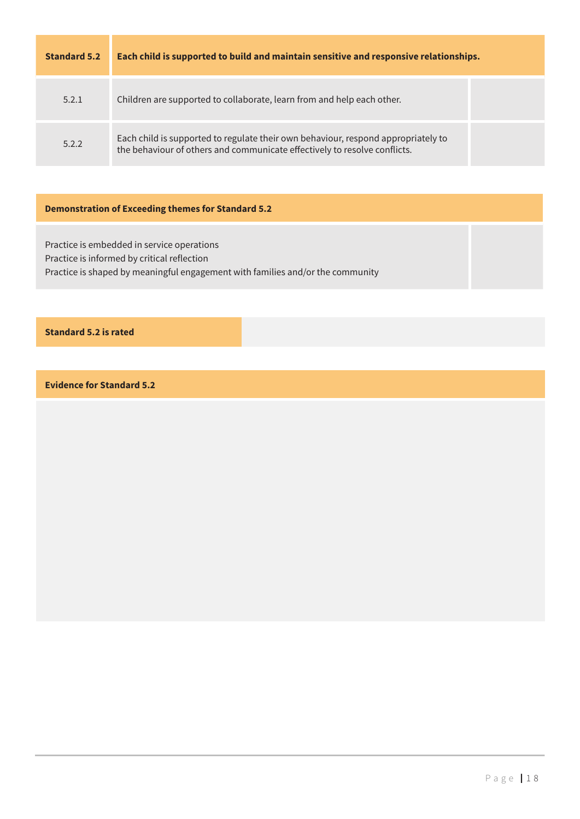| <b>Standard 5.2</b> | Each child is supported to build and maintain sensitive and responsive relationships.                                                                          |  |
|---------------------|----------------------------------------------------------------------------------------------------------------------------------------------------------------|--|
| 5.2.1               | Children are supported to collaborate, learn from and help each other.                                                                                         |  |
| 5.2.2               | Each child is supported to regulate their own behaviour, respond appropriately to<br>the behaviour of others and communicate effectively to resolve conflicts. |  |

#### **Demonstration of Exceeding themes for Standard 5.2**

Practice is embedded in service operations Practice is informed by critical reflection Practice is shaped by meaningful engagement with families and/or the community

#### **Standard 5.2 is rated**

**Evidence for Standard 5.2**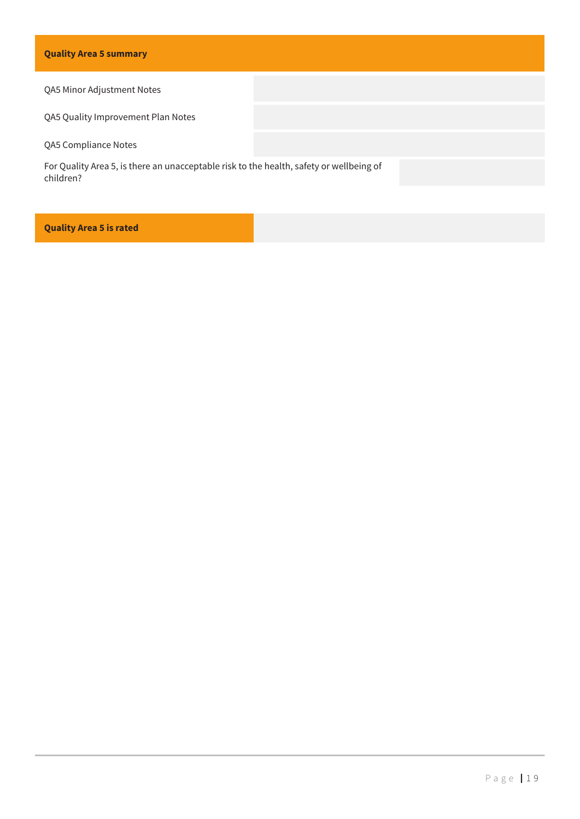#### QA5 Minor Adjustment Notes

QA5 Quality Improvement Plan Notes

QA5 Compliance Notes

For Quality Area 5, is there an unacceptable risk to the health, safety or wellbeing of children?

#### **Quality Area 5 is rated**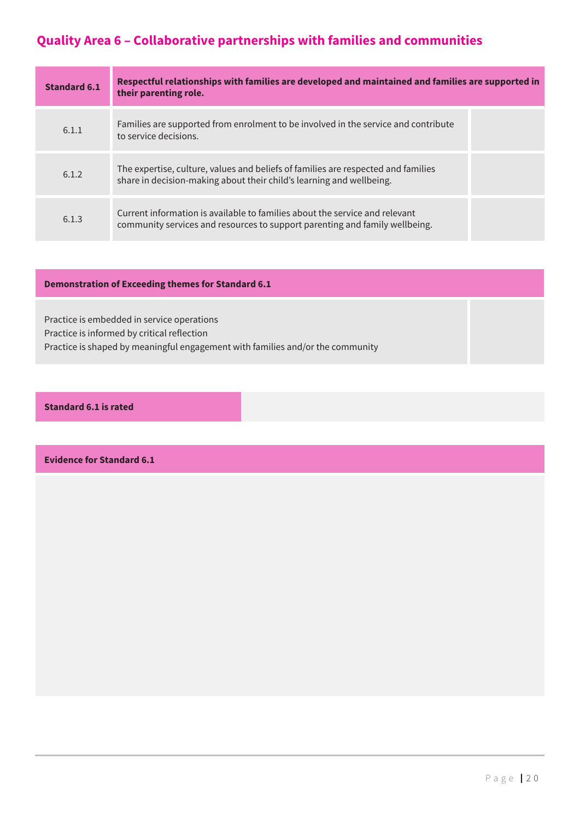# **Quality Area 6 – Collaborative partnerships with families and communities**

| <b>Standard 6.1</b> | Respectful relationships with families are developed and maintained and families are supported in<br>their parenting role.                                 |  |
|---------------------|------------------------------------------------------------------------------------------------------------------------------------------------------------|--|
| 6.1.1               | Families are supported from enrolment to be involved in the service and contribute<br>to service decisions.                                                |  |
| 6.1.2               | The expertise, culture, values and beliefs of families are respected and families<br>share in decision-making about their child's learning and wellbeing.  |  |
| 6.1.3               | Current information is available to families about the service and relevant<br>community services and resources to support parenting and family wellbeing. |  |

#### **Demonstration of Exceeding themes for Standard 6.1**

Practice is embedded in service operations Practice is informed by critical reflection Practice is shaped by meaningful engagement with families and/or the community

#### **Standard 6.1 is rated**

**Evidence for Standard 6.1**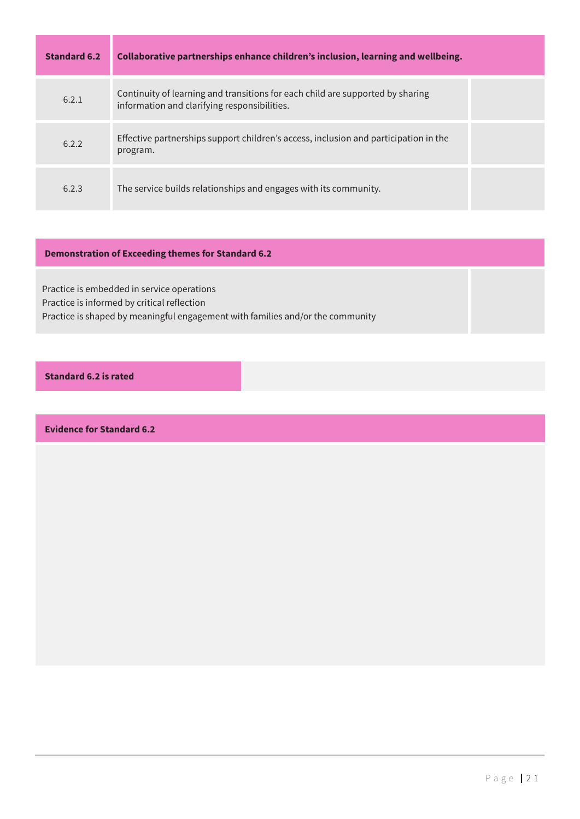| <b>Standard 6.2</b> | Collaborative partnerships enhance children's inclusion, learning and wellbeing.                                               |  |
|---------------------|--------------------------------------------------------------------------------------------------------------------------------|--|
| 6.2.1               | Continuity of learning and transitions for each child are supported by sharing<br>information and clarifying responsibilities. |  |
| 6.2.2               | Effective partnerships support children's access, inclusion and participation in the<br>program.                               |  |
| 6.2.3               | The service builds relationships and engages with its community.                                                               |  |

### **Demonstration of Exceeding themes for Standard 6.2**

Practice is embedded in service operations Practice is informed by critical reflection Practice is shaped by meaningful engagement with families and/or the community

**Standard 6.2 is rated**

**Evidence for Standard 6.2**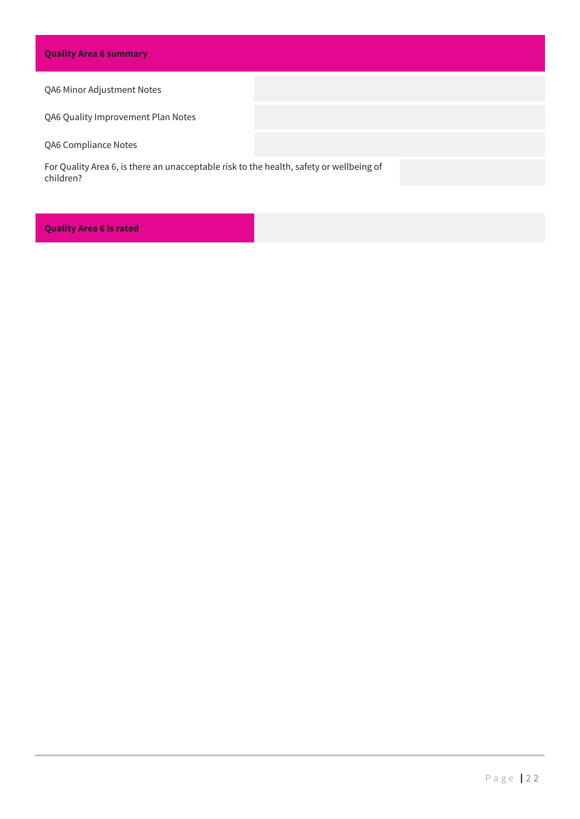#### QA6 Minor Adjustment Notes

QA6 Quality Improvement Plan Notes

QA6 Compliance Notes

For Quality Area 6, is there an unacceptable risk to the health, safety or wellbeing of children?

#### **Quality Area 6 is rated**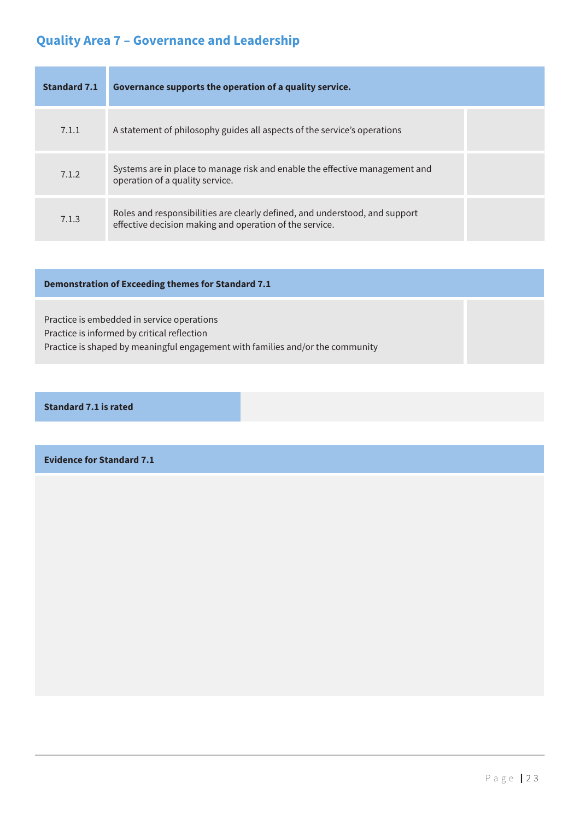# **Quality Area 7 – Governance and Leadership**

| Standard 7.1 | Governance supports the operation of a quality service.                                                                                |  |
|--------------|----------------------------------------------------------------------------------------------------------------------------------------|--|
| 7.1.1        | A statement of philosophy guides all aspects of the service's operations                                                               |  |
| 7.1.2        | Systems are in place to manage risk and enable the effective management and<br>operation of a quality service.                         |  |
| 7.1.3        | Roles and responsibilities are clearly defined, and understood, and support<br>effective decision making and operation of the service. |  |

#### **Demonstration of Exceeding themes for Standard 7.1**

Practice is embedded in service operations Practice is informed by critical reflection Practice is shaped by meaningful engagement with families and/or the community

#### **Standard 7.1 is rated**

**Evidence for Standard 7.1**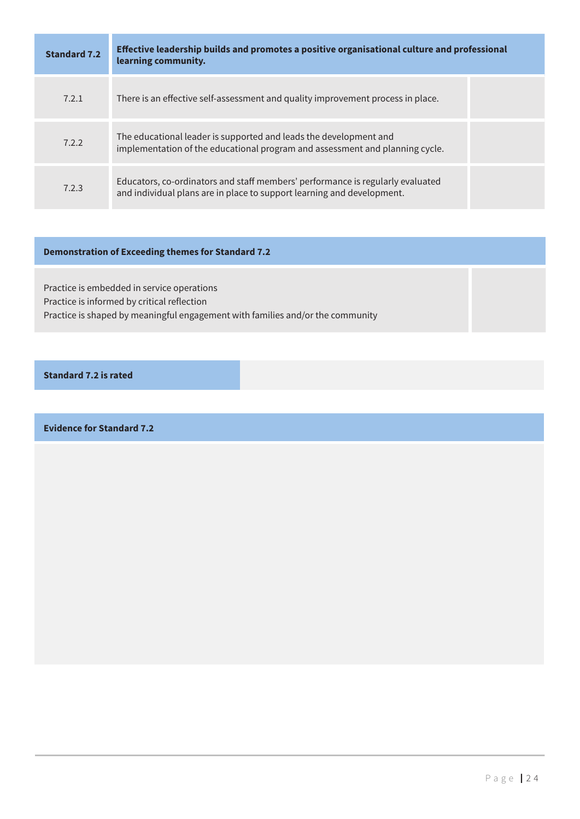| <b>Standard 7.2</b> | Effective leadership builds and promotes a positive organisational culture and professional<br>learning community.                                       |  |
|---------------------|----------------------------------------------------------------------------------------------------------------------------------------------------------|--|
| 7.2.1               | There is an effective self-assessment and quality improvement process in place.                                                                          |  |
| 7.2.2               | The educational leader is supported and leads the development and<br>implementation of the educational program and assessment and planning cycle.        |  |
| 7.2.3               | Educators, co-ordinators and staff members' performance is regularly evaluated<br>and individual plans are in place to support learning and development. |  |

#### **Demonstration of Exceeding themes for Standard 7.2**

Practice is embedded in service operations Practice is informed by critical reflection Practice is shaped by meaningful engagement with families and/or the community

#### **Standard 7.2 is rated**

**Evidence for Standard 7.2**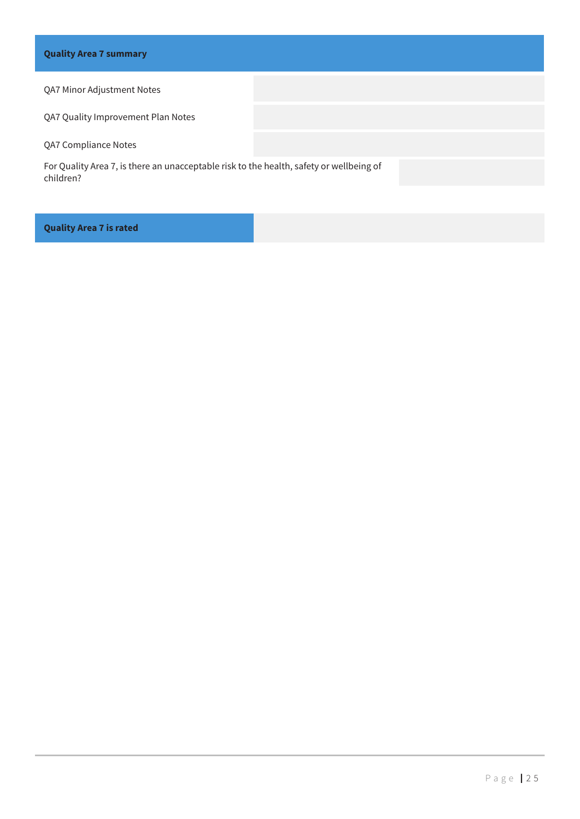#### QA7 Minor Adjustment Notes

QA7 Quality Improvement Plan Notes

QA7 Compliance Notes

For Quality Area 7, is there an unacceptable risk to the health, safety or wellbeing of children?

#### **Quality Area 7 is rated**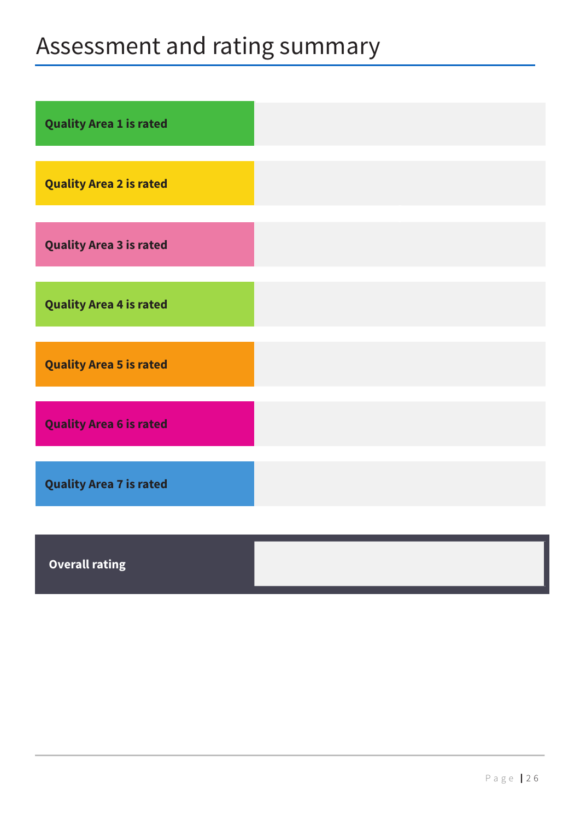# Assessment and rating summary

| <b>Quality Area 1 is rated</b> |  |
|--------------------------------|--|
| <b>Quality Area 2 is rated</b> |  |
| <b>Quality Area 3 is rated</b> |  |
| <b>Quality Area 4 is rated</b> |  |
| <b>Quality Area 5 is rated</b> |  |
| <b>Quality Area 6 is rated</b> |  |
| <b>Quality Area 7 is rated</b> |  |
|                                |  |

**Overall rating**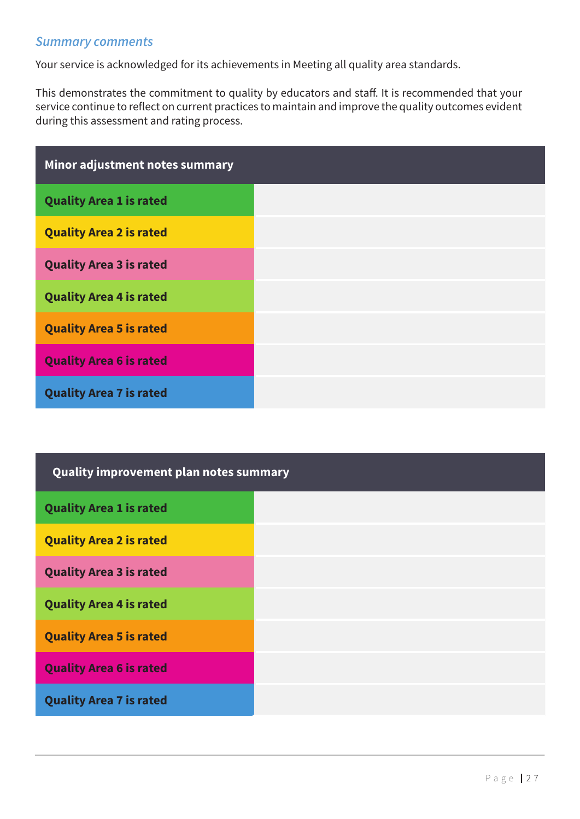### *Summary comments*

Your service is acknowledged for its achievements in Meeting all quality area standards.

This demonstrates the commitment to quality by educators and staff. It is recommended that your service continue to reflect on current practices to maintain and improve the quality outcomes evident during this assessment and rating process.

| Minor adjustment notes summary |  |
|--------------------------------|--|
| <b>Quality Area 1 is rated</b> |  |
| <b>Quality Area 2 is rated</b> |  |
| <b>Quality Area 3 is rated</b> |  |
| <b>Quality Area 4 is rated</b> |  |
| <b>Quality Area 5 is rated</b> |  |
| <b>Quality Area 6 is rated</b> |  |
| <b>Quality Area 7 is rated</b> |  |

| Quality improvement plan notes summary |  |
|----------------------------------------|--|
| <b>Quality Area 1 is rated</b>         |  |
| <b>Quality Area 2 is rated</b>         |  |
| <b>Quality Area 3 is rated</b>         |  |
| <b>Quality Area 4 is rated</b>         |  |
| <b>Quality Area 5 is rated</b>         |  |
| <b>Quality Area 6 is rated</b>         |  |
| <b>Quality Area 7 is rated</b>         |  |